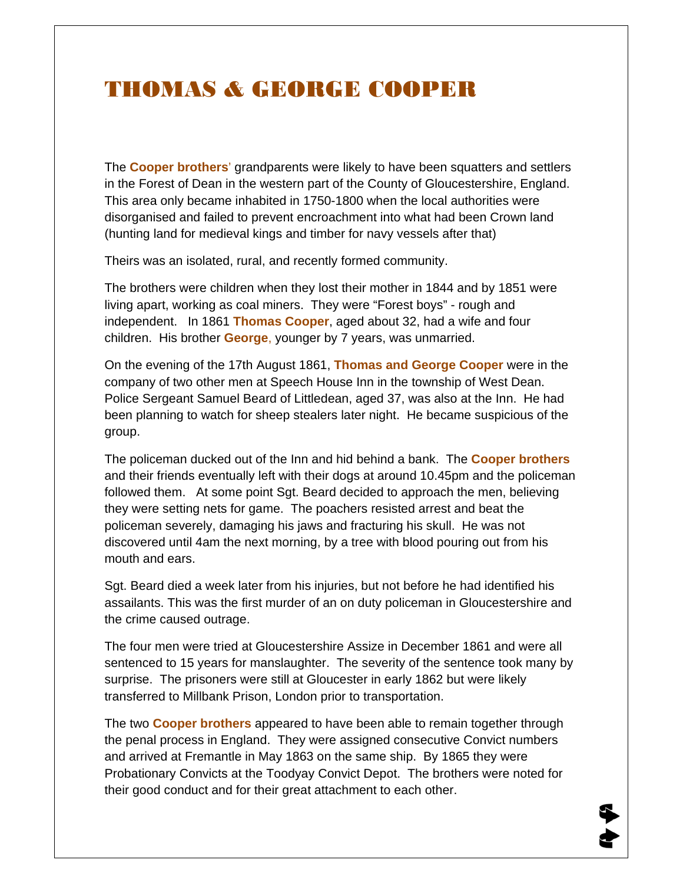#### THOMAS & GEORGE COOPER

The **Cooper brothers**' grandparents were likely to have been squatters and settlers in the Forest of Dean in the western part of the County of Gloucestershire, England. This area only became inhabited in 1750-1800 when the local authorities were disorganised and failed to prevent encroachment into what had been Crown land (hunting land for medieval kings and timber for navy vessels after that)

Theirs was an isolated, rural, and recently formed community.

The brothers were children when they lost their mother in 1844 and by 1851 were living apart, working as coal miners. They were "Forest boys" - rough and independent. In 1861 **Thomas Cooper**, aged about 32, had a wife and four children. His brother **George**, younger by 7 years, was unmarried.

On the evening of the 17th August 1861, **Thomas and George Cooper** were in the company of two other men at Speech House Inn in the township of West Dean. Police Sergeant Samuel Beard of Littledean, aged 37, was also at the Inn. He had been planning to watch for sheep stealers later night. He became suspicious of the group.

The policeman ducked out of the Inn and hid behind a bank. The **Cooper brothers** and their friends eventually left with their dogs at around 10.45pm and the policeman followed them. At some point Sgt. Beard decided to approach the men, believing they were setting nets for game. The poachers resisted arrest and beat the policeman severely, damaging his jaws and fracturing his skull. He was not discovered until 4am the next morning, by a tree with blood pouring out from his mouth and ears.

Sgt. Beard died a week later from his injuries, but not before he had identified his assailants. This was the first murder of an on duty policeman in Gloucestershire and the crime caused outrage.

The four men were tried at Gloucestershire Assize in December 1861 and were all sentenced to 15 years for manslaughter. The severity of the sentence took many by surprise. The prisoners were still at Gloucester in early 1862 but were likely transferred to Millbank Prison, London prior to transportation.

The two **Cooper brothers** appeared to have been able to remain together through the penal process in England. They were assigned consecutive Convict numbers and arrived at Fremantle in May 1863 on the same ship. By 1865 they were Probationary Convicts at the Toodyay Convict Depot. The brothers were noted for their good conduct and for their great attachment to each other.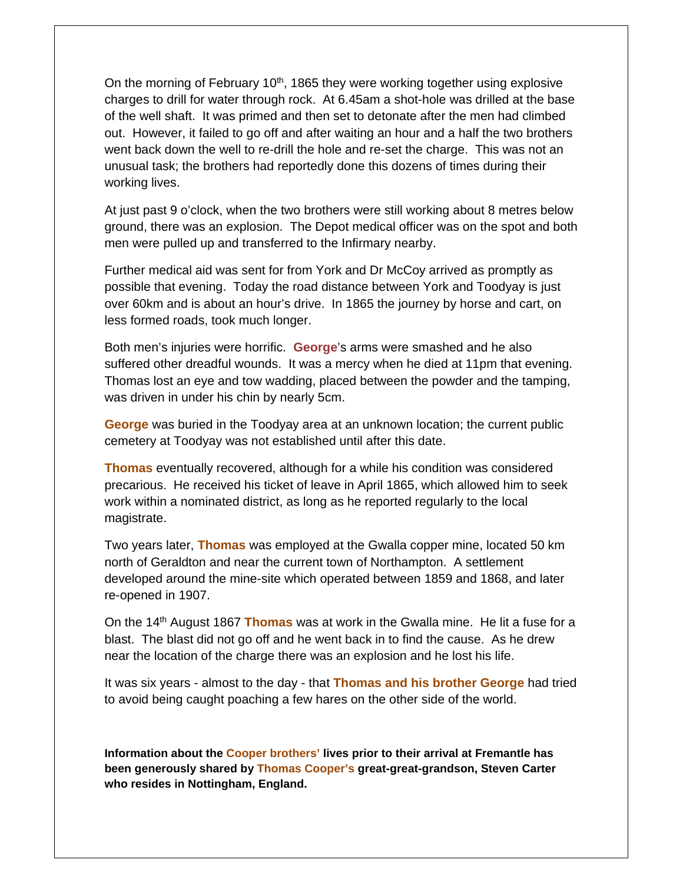On the morning of February 10<sup>th</sup>, 1865 they were working together using explosive charges to drill for water through rock. At 6.45am a shot-hole was drilled at the base of the well shaft. It was primed and then set to detonate after the men had climbed out. However, it failed to go off and after waiting an hour and a half the two brothers went back down the well to re-drill the hole and re-set the charge. This was not an unusual task; the brothers had reportedly done this dozens of times during their working lives.

At just past 9 o'clock, when the two brothers were still working about 8 metres below ground, there was an explosion. The Depot medical officer was on the spot and both men were pulled up and transferred to the Infirmary nearby.

Further medical aid was sent for from York and Dr McCoy arrived as promptly as possible that evening. Today the road distance between York and Toodyay is just over 60km and is about an hour's drive. In 1865 the journey by horse and cart, on less formed roads, took much longer.

Both men's injuries were horrific. **George**'s arms were smashed and he also suffered other dreadful wounds. It was a mercy when he died at 11pm that evening. Thomas lost an eye and tow wadding, placed between the powder and the tamping, was driven in under his chin by nearly 5cm.

**George** was buried in the Toodyay area at an unknown location; the current public cemetery at Toodyay was not established until after this date.

**Thomas** eventually recovered, although for a while his condition was considered precarious. He received his ticket of leave in April 1865, which allowed him to seek work within a nominated district, as long as he reported regularly to the local magistrate.

Two years later, **Thomas** was employed at the Gwalla copper mine, located 50 km north of Geraldton and near the current town of Northampton. A settlement developed around the mine-site which operated between 1859 and 1868, and later re-opened in 1907.

On the 14th August 1867 **Thomas** was at work in the Gwalla mine. He lit a fuse for a blast. The blast did not go off and he went back in to find the cause. As he drew near the location of the charge there was an explosion and he lost his life.

It was six years - almost to the day - that **Thomas and his brother George** had tried to avoid being caught poaching a few hares on the other side of the world.

**Information about the Cooper brothers' lives prior to their arrival at Fremantle has been generously shared by Thomas Cooper's great-great-grandson, Steven Carter who resides in Nottingham, England.**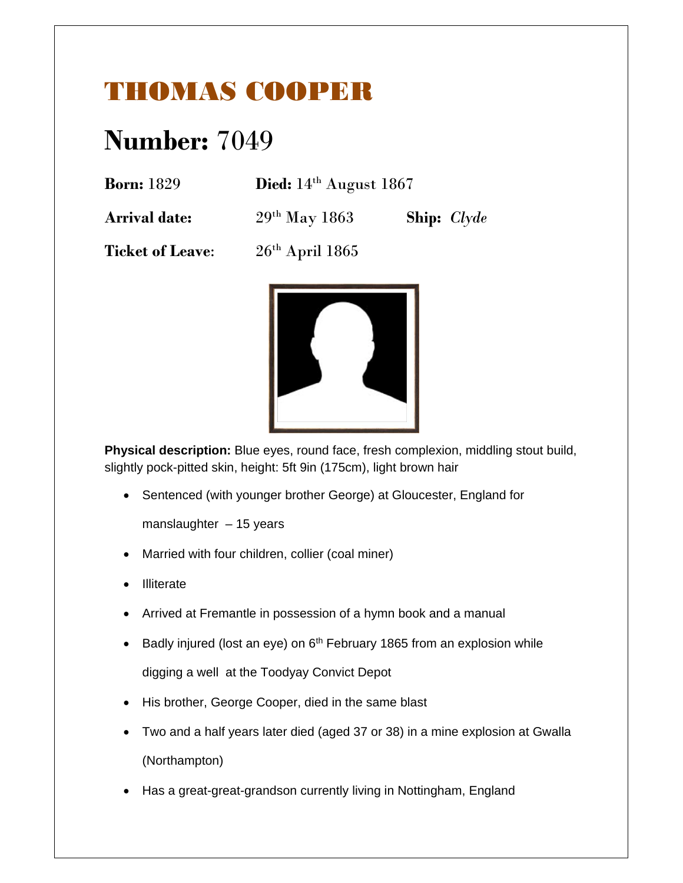## THOMAS COOPER

# **Number:** 7049

| Died: $14th$ August 1867 |
|--------------------------|
|                          |

**Arrival date:** 29th May 1863 **Ship:** *Clyde*

**Ticket of Leave:**  $26<sup>th</sup>$  April 1865



**Physical description:** Blue eyes, round face, fresh complexion, middling stout build, slightly pock-pitted skin, height: 5ft 9in (175cm), light brown hair

Sentenced (with younger brother George) at Gloucester, England for

manslaughter  $-15$  years

- Married with four children, collier (coal miner)
- **Illiterate**
- Arrived at Fremantle in possession of a hymn book and a manual
- Badly injured (lost an eye) on 6<sup>th</sup> February 1865 from an explosion while digging a well at the Toodyay Convict Depot
- His brother, George Cooper, died in the same blast
- Two and a half years later died (aged 37 or 38) in a mine explosion at Gwalla (Northampton)
- Has a great-great-grandson currently living in Nottingham, England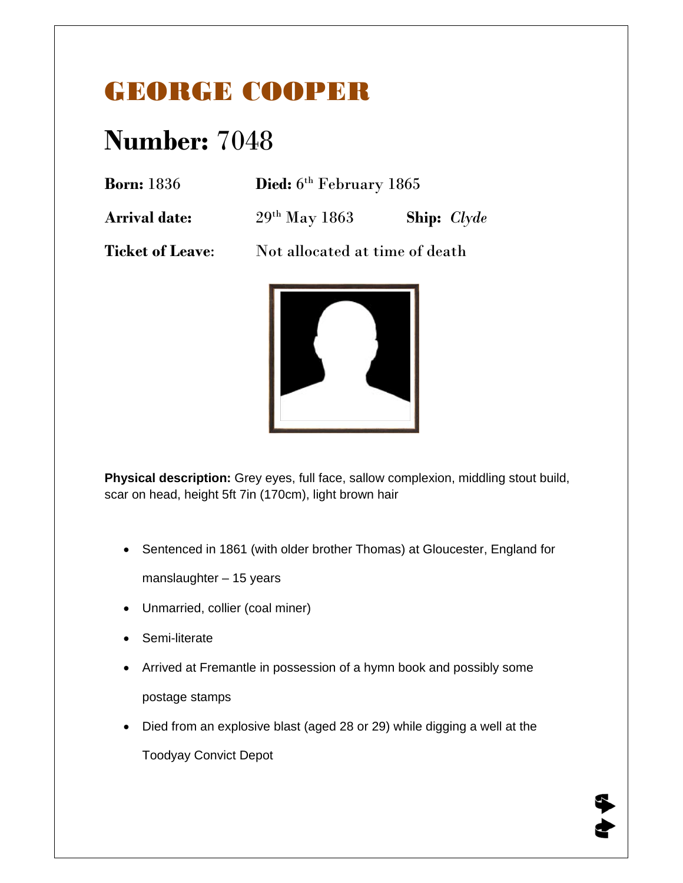## GEORGE COOPER

# **Number:** 7048

**Died:**  $6^{th}$  February 1865

**Arrival date:** 29th May 1863 **Ship:** *Clyde*

**Ticket of Leave:** Not allocated at time of death



**Physical description:** Grey eyes, full face, sallow complexion, middling stout build, scar on head, height 5ft 7in (170cm), light brown hair

• Sentenced in 1861 (with older brother Thomas) at Gloucester, England for

manslaughter – 15 years

- Unmarried, collier (coal miner)
- Semi-literate
- Arrived at Fremantle in possession of a hymn book and possibly some postage stamps
- Died from an explosive blast (aged 28 or 29) while digging a well at the

Toodyay Convict Depot